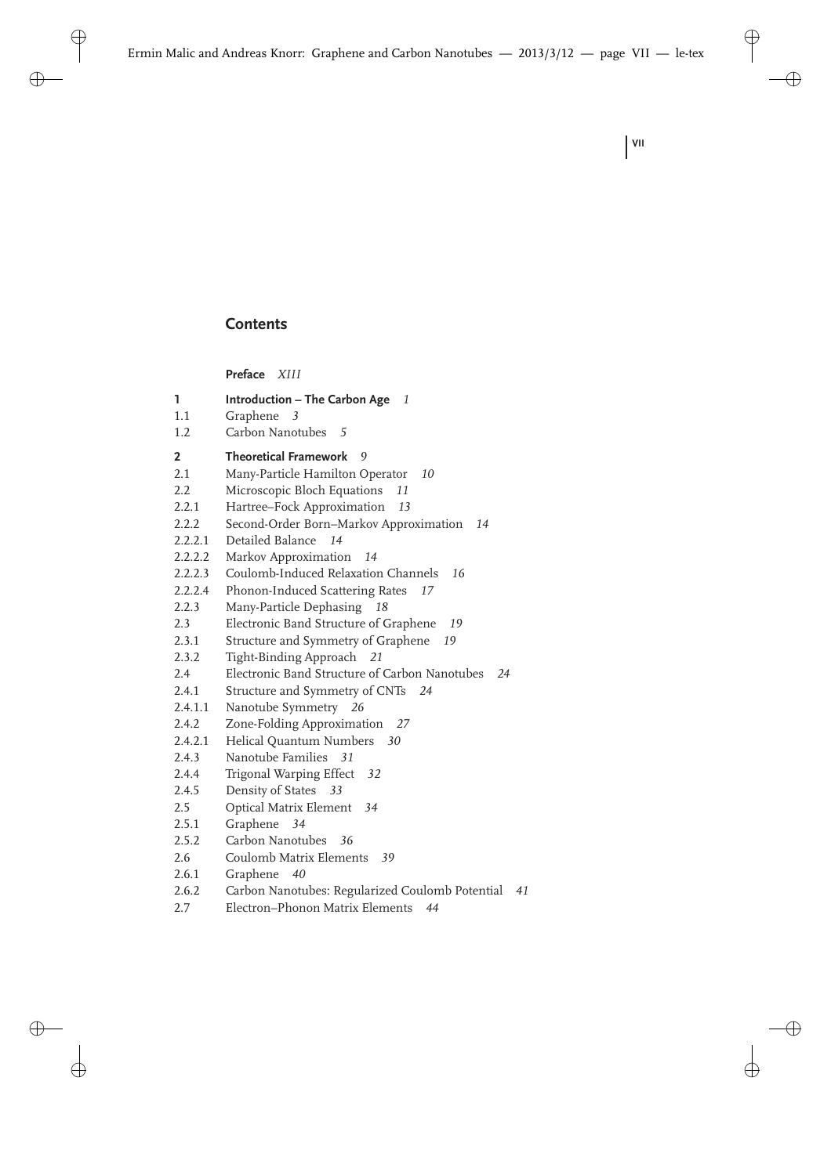## **Contents**

|         | Preface XIII                                          |
|---------|-------------------------------------------------------|
| 1       | Introduction - The Carbon Age 1                       |
| 1.1     | Graphene<br>3                                         |
| 1.2     | Carbon Nanotubes<br>5                                 |
| 2       | <b>Theoretical Framework</b><br>9                     |
| 2.1     | Many-Particle Hamilton Operator<br>10                 |
| 2.2     | Microscopic Bloch Equations<br>11                     |
| 2.2.1   | Hartree-Fock Approximation<br>13                      |
| 2.2.2   | Second-Order Born-Markov Approximation<br>14          |
| 2.2.2.1 | Detailed Balance<br>14                                |
| 2.2.2.2 | Markov Approximation<br>14                            |
| 2.2.2.3 | Coulomb-Induced Relaxation Channels<br>16             |
| 2.2.2.4 | Phonon-Induced Scattering Rates<br>17                 |
| 2.2.3   | Many-Particle Dephasing<br>18                         |
| 2.3     | Electronic Band Structure of Graphene<br>19           |
| 2.3.1   | Structure and Symmetry of Graphene<br>19              |
| 2.3.2   | Tight-Binding Approach<br>- 21                        |
| 2.4     | Electronic Band Structure of Carbon Nanotubes<br>24   |
| 2.4.1   | Structure and Symmetry of CNTs<br>24                  |
| 2.4.1.1 | Nanotube Symmetry<br>- 26                             |
| 2.4.2   | Zone-Folding Approximation<br>27                      |
| 2.4.2.1 | Helical Quantum Numbers<br>30                         |
| 2.4.3   | Nanotube Families<br>31                               |
| 2.4.4   | Trigonal Warping Effect 32                            |
| 2.4.5   | Density of States<br>33                               |
| 2.5     | Optical Matrix Element<br>34                          |
| 2.5.1   | Graphene<br>34                                        |
| 2.5.2   | Carbon Nanotubes<br>36                                |
| 2.6     | Coulomb Matrix Elements<br>39                         |
| 2.6.1   | Graphene<br>- 40                                      |
| 2.6.2   | Carbon Nanotubes: Regularized Coulomb Potential<br>41 |
| 2.7     | Electron-Phonon Matrix Elements<br>44                 |
|         |                                                       |

**VII**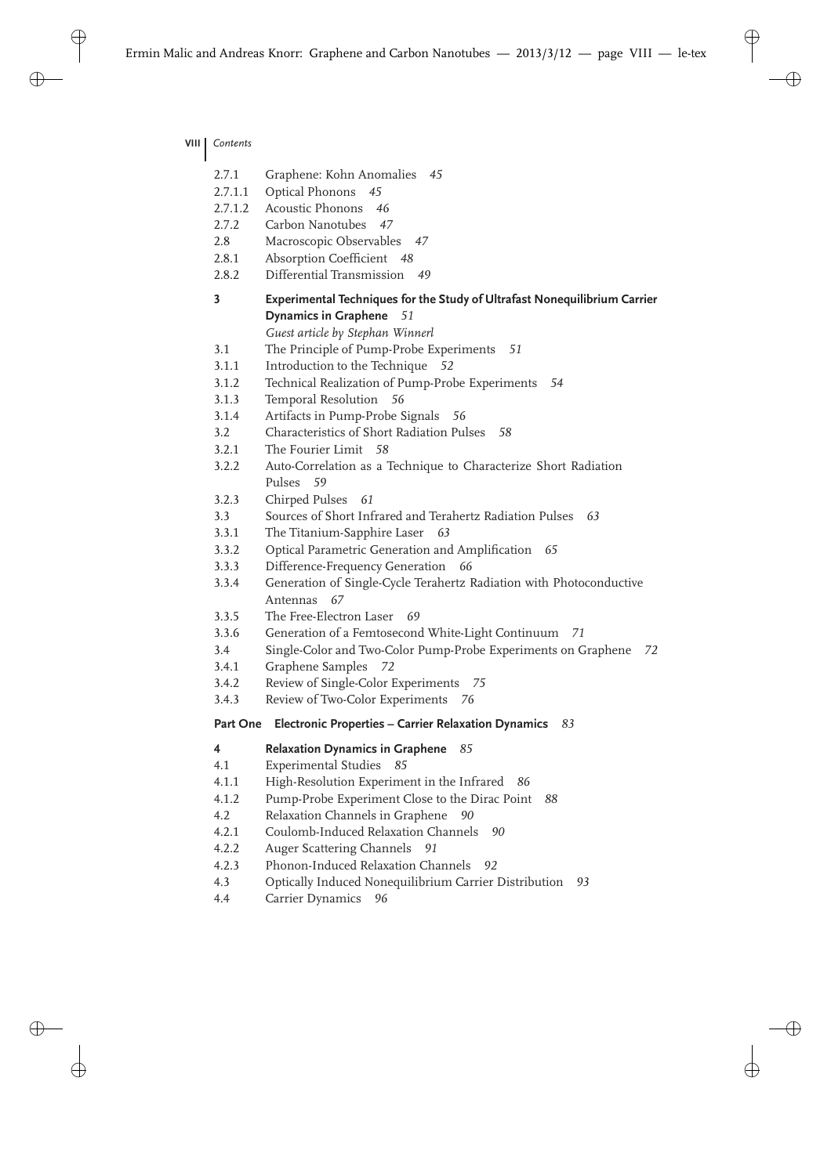**VIII** *Contents*

| 2.7.1        | Graphene: Kohn Anomalies<br>45                                                                          |
|--------------|---------------------------------------------------------------------------------------------------------|
| 2.7.1.1      | Optical Phonons<br>45                                                                                   |
| 2.7.1.2      | <b>Acoustic Phonons</b><br>46                                                                           |
| 2.7.2        | Carbon Nanotubes<br>47                                                                                  |
| 2.8          | Macroscopic Observables<br>47                                                                           |
| 2.8.1        | Absorption Coefficient<br>48                                                                            |
| 2.8.2        | Differential Transmission<br>49                                                                         |
| 3            | Experimental Techniques for the Study of Ultrafast Nonequilibrium Carrier<br>Dynamics in Graphene<br>51 |
|              | Guest article by Stephan Winnerl                                                                        |
|              | The Principle of Pump-Probe Experiments                                                                 |
| 3.1<br>3.1.1 | 51<br>Introduction to the Technique                                                                     |
| 3.1.2        | - 52<br>54                                                                                              |
|              | Technical Realization of Pump-Probe Experiments                                                         |
| 3.1.3        | Temporal Resolution<br>56                                                                               |
| 3.1.4<br>3.2 | Artifacts in Pump-Probe Signals<br>56<br>Characteristics of Short Radiation Pulses<br>58                |
| 3.2.1        | The Fourier Limit 58                                                                                    |
|              |                                                                                                         |
| 3.2.2        | Auto-Correlation as a Technique to Characterize Short Radiation<br>Pulses<br>- 59                       |
| 3.2.3        | Chirped Pulses<br>61                                                                                    |
| 3.3          | Sources of Short Infrared and Terahertz Radiation Pulses<br>63                                          |
| 3.3.1        | The Titanium-Sapphire Laser<br>63                                                                       |
| 3.3.2        | Optical Parametric Generation and Amplification<br>65                                                   |
| 3.3.3        | Difference-Frequency Generation<br>66                                                                   |
| 3.3.4        | Generation of Single-Cycle Terahertz Radiation with Photoconductive                                     |
|              | Antennas<br>67                                                                                          |
| 3.3.5        | The Free-Electron Laser<br>69                                                                           |
| 3.3.6        | Generation of a Femtosecond White-Light Continuum<br>71                                                 |
| 3.4          | Single-Color and Two-Color Pump-Probe Experiments on Graphene<br>72                                     |
| 3.4.1        | Graphene Samples<br>72                                                                                  |
| 3.4.2        | Review of Single-Color Experiments<br>75                                                                |
| 3.4.3        | Review of Two-Color Experiments<br>76                                                                   |
| Part One     | Electronic Properties - Carrier Relaxation Dynamics<br>83                                               |
| 4            | <b>Relaxation Dynamics in Graphene</b><br>85                                                            |
| 4.1          | <b>Experimental Studies</b><br>85                                                                       |
| 4.1.1        | High-Resolution Experiment in the Infrared<br>86                                                        |
| 4.1.2        |                                                                                                         |
|              | Pump-Probe Experiment Close to the Dirac Point<br>88                                                    |
| 4.2          | Relaxation Channels in Graphene<br>90                                                                   |
| 4.2.1        | Coulomb-Induced Relaxation Channels<br>90                                                               |
| 4.2.2        | Auger Scattering Channels<br>91                                                                         |
| 4.2.3        | Phonon-Induced Relaxation Channels<br>92                                                                |

4.4 Carrier Dynamics *96*

I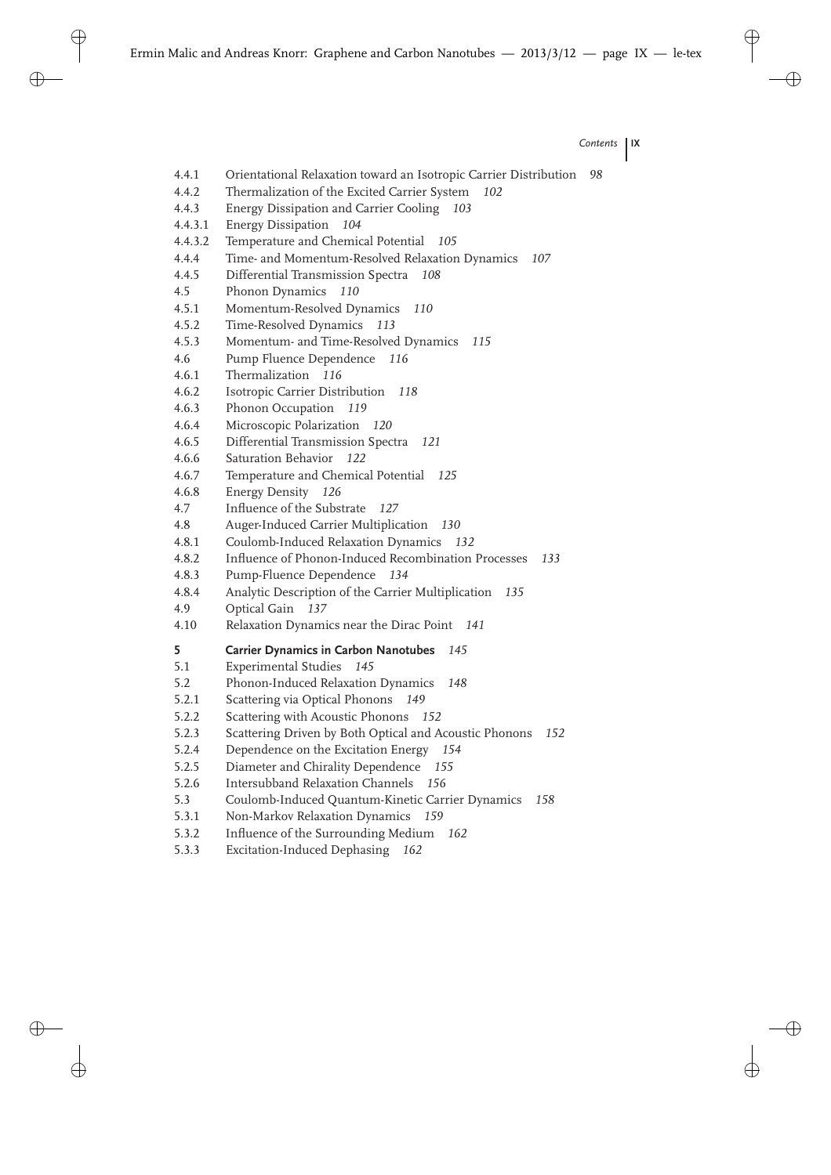*Contents* **IX**

4.4.1 Orientational Relaxation toward an Isotropic Carrier Distribution *98* 4.4.2 Thermalization of the Excited Carrier System *102* 4.4.3 Energy Dissipation and Carrier Cooling *103* 4.4.3.1 Energy Dissipation *104* 4.4.3.2 Temperature and Chemical Potential *105* 4.4.4 Time- and Momentum-Resolved Relaxation Dynamics *107* 4.4.5 Differential Transmission Spectra *108* 4.5 Phonon Dynamics *110* 4.5.1 Momentum-Resolved Dynamics *110* 4.5.2 Time-Resolved Dynamics *113* 4.5.3 Momentum- and Time-Resolved Dynamics *115* 4.6 Pump Fluence Dependence *116* 4.6.1 Thermalization *116* 4.6.2 Isotropic Carrier Distribution *118* 4.6.3 Phonon Occupation *119* 4.6.4 Microscopic Polarization *120* 4.6.5 Differential Transmission Spectra *121* 4.6.6 Saturation Behavior *122* 4.6.7 Temperature and Chemical Potential *125* 4.6.8 Energy Density *126* 4.7 Influence of the Substrate *127* 4.8 Auger-Induced Carrier Multiplication *130* 4.8.1 Coulomb-Induced Relaxation Dynamics *132* 4.8.2 Influence of Phonon-Induced Recombination Processes *133* 4.8.3 Pump-Fluence Dependence *134* 4.8.4 Analytic Description of the Carrier Multiplication *135* 4.9 Optical Gain *137* 4.10 Relaxation Dynamics near the Dirac Point *141* **5 Carrier Dynamics in Carbon Nanotubes** *145* 5.1 Experimental Studies *145* 5.2 Phonon-Induced Relaxation Dynamics *148* 5.2.1 Scattering via Optical Phonons *149* 5.2.2 Scattering with Acoustic Phonons *152* 5.2.3 Scattering Driven by Both Optical and Acoustic Phonons *152* 5.2.4 Dependence on the Excitation Energy *154* 5.2.5 Diameter and Chirality Dependence *155* 5.2.6 Intersubband Relaxation Channels *156* 5.3 Coulomb-Induced Quantum-Kinetic Carrier Dynamics *158* 5.3.1 Non-Markov Relaxation Dynamics *159* 5.3.2 Influence of the Surrounding Medium *162* 5.3.3 Excitation-Induced Dephasing *162*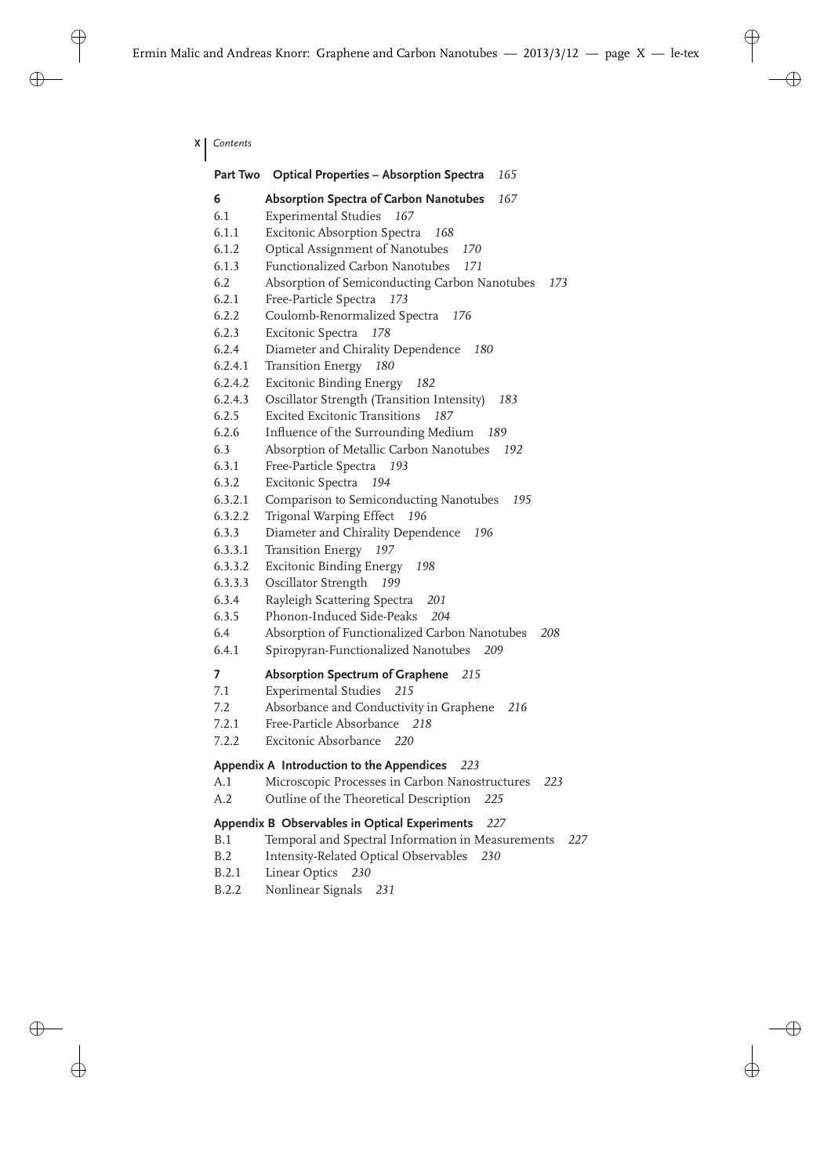**X** *Contents*

|         | Part Two Optical Properties - Absorption Spectra<br>165  |  |
|---------|----------------------------------------------------------|--|
| 6       | Absorption Spectra of Carbon Nanotubes<br>167            |  |
| 6.1     | <b>Experimental Studies</b><br>167                       |  |
| 6.1.1   | <b>Excitonic Absorption Spectra</b><br>168               |  |
| 6.1.2   | Optical Assignment of Nanotubes<br>170                   |  |
| 6.1.3   | Functionalized Carbon Nanotubes<br>171                   |  |
| 6.2     | Absorption of Semiconducting Carbon Nanotubes<br>173     |  |
| 6.2.1   | Free-Particle Spectra<br>173                             |  |
| 6.2.2   | Coulomb-Renormalized Spectra<br>176                      |  |
| 6.2.3   | Excitonic Spectra<br>178                                 |  |
| 6.2.4   | Diameter and Chirality Dependence<br>180                 |  |
| 6.2.4.1 | <b>Transition Energy</b><br>180                          |  |
| 6.2.4.2 | <b>Excitonic Binding Energy</b><br>182                   |  |
| 6.2.4.3 | Oscillator Strength (Transition Intensity)<br>183        |  |
| 6.2.5   | Excited Excitonic Transitions<br>187                     |  |
| 6.2.6   | Influence of the Surrounding Medium<br>189               |  |
| 6.3     | Absorption of Metallic Carbon Nanotubes<br>192           |  |
| 6.3.1   | Free-Particle Spectra<br>193                             |  |
| 6.3.2   | Excitonic Spectra<br>194                                 |  |
| 6.3.2.1 | Comparison to Semiconducting Nanotubes<br>195            |  |
| 6.3.2.2 | Trigonal Warping Effect<br>196                           |  |
| 6.3.3   | Diameter and Chirality Dependence<br>196                 |  |
| 6.3.3.1 | <b>Transition Energy</b><br>197                          |  |
| 6.3.3.2 | <b>Excitonic Binding Energy</b><br>198                   |  |
| 6.3.3.3 | Oscillator Strength<br>199                               |  |
| 6.3.4   | Rayleigh Scattering Spectra<br>201                       |  |
| 6.3.5   | Phonon-Induced Side-Peaks<br>204                         |  |
| 6.4     | Absorption of Functionalized Carbon Nanotubes<br>208     |  |
| 6.4.1   | Spiropyran-Functionalized Nanotubes<br>209               |  |
| 7       | <b>Absorption Spectrum of Graphene</b> 215               |  |
| 7.1     | Experimental Studies 215                                 |  |
| 7.2     | Absorbance and Conductivity in Graphene<br>- 216         |  |
| 7.2.1   | Free-Particle Absorbance 218                             |  |
| 7.2.2   | Excitonic Absorbance 220                                 |  |
|         | Appendix A Introduction to the Appendices<br>223         |  |
| A.1     | Microscopic Processes in Carbon Nanostructures<br>223    |  |
| A.2     | Outline of the Theoretical Description<br>225            |  |
|         | Appendix B Observables in Optical Experiments<br>227     |  |
| B.1     | Temporal and Spectral Information in Measurements<br>227 |  |
| B.2     | Intensity-Related Optical Observables<br>230             |  |
| B.2.1   | Linear Optics<br>230                                     |  |
| B.2.2   | Nonlinear Signals<br>231                                 |  |
|         |                                                          |  |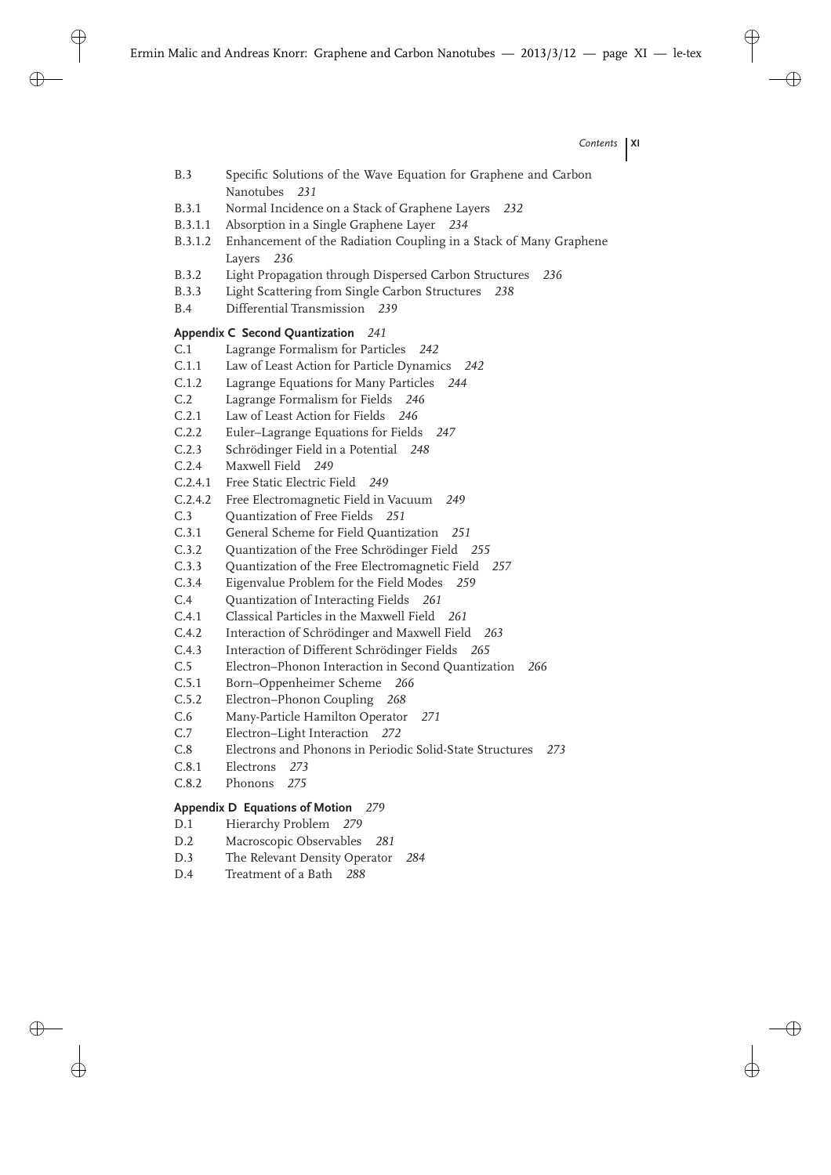- B.3 Specific Solutions of the Wave Equation for Graphene and Carbon Nanotubes *231*
- B.3.1 Normal Incidence on a Stack of Graphene Layers *232*
- B.3.1.1 Absorption in a Single Graphene Layer *234*
- B.3.1.2 Enhancement of the Radiation Coupling in a Stack of Many Graphene Layers *236*
- B.3.2 Light Propagation through Dispersed Carbon Structures *236*
- B.3.3 Light Scattering from Single Carbon Structures *238*
- B.4 Differential Transmission *239*

## **Appendix C Second Quantization** *241*

- C.1 Lagrange Formalism for Particles *242*
- C.1.1 Law of Least Action for Particle Dynamics *242*
- C.1.2 Lagrange Equations for Many Particles *244*
- C.2 Lagrange Formalism for Fields *246*
- C.2.1 Law of Least Action for Fields *246*
- C.2.2 Euler–Lagrange Equations for Fields *247*
- C.2.3 Schrödinger Field in a Potential *248*
- C.2.4 Maxwell Field *249*
- C.2.4.1 Free Static Electric Field *249*
- C.2.4.2 Free Electromagnetic Field in Vacuum *249*
- C.3 Quantization of Free Fields *251*
- C.3.1 General Scheme for Field Quantization *251*
- C.3.2 Quantization of the Free Schrödinger Field *255*
- C.3.3 Quantization of the Free Electromagnetic Field *257*
- C.3.4 Eigenvalue Problem for the Field Modes *259*
- C.4 Quantization of Interacting Fields *261*
- C.4.1 Classical Particles in the Maxwell Field *261*
- C.4.2 Interaction of Schrödinger and Maxwell Field *263*
- C.4.3 Interaction of Different Schrödinger Fields *265*
- C.5 Electron–Phonon Interaction in Second Quantization *266*
- C.5.1 Born–Oppenheimer Scheme *266*
- C.5.2 Electron–Phonon Coupling *268*
- C.6 Many-Particle Hamilton Operator *271*
- C.7 Electron–Light Interaction *272*
- C.8 Electrons and Phonons in Periodic Solid-State Structures *273*
- C.8.1 Electrons *273*
- C.8.2 Phonons *275*

## **Appendix D Equations of Motion** *279*

- D.1 Hierarchy Problem *279*
- D.2 Macroscopic Observables *281*
- D.3 The Relevant Density Operator *284*
- D.4 Treatment of a Bath *288*